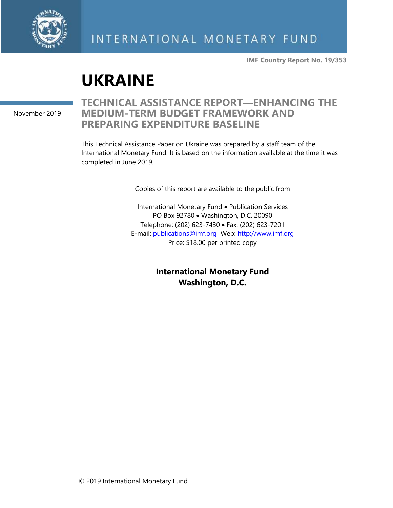

**IMF Country Report No. 19/353**

# **UKRAINE**

November 2019

### **TECHNICAL ASSISTANCE REPORT—ENHANCING THE MEDIUM-TERM BUDGET FRAMEWORK AND PREPARING EXPENDITURE BASELINE**

This Technical Assistance Paper on Ukraine was prepared by a staff team of the International Monetary Fund. It is based on the information available at the time it was completed in June 2019.

Copies of this report are available to the public from

International Monetary Fund • Publication Services PO Box 92780 • Washington, D.C. 20090 Telephone: (202) 623-7430 • Fax: (202) 623-7201 E-mail: [publications@imf.org](mailto:publications@imf.org) Web: [http://www.imf.org](http://www.imf.org/) Price: \$18.00 per printed copy

> **International Monetary Fund Washington, D.C.**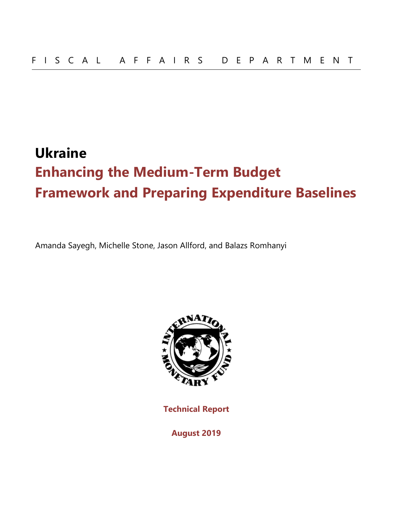## **Ukraine Enhancing the Medium-Term Budget Framework and Preparing Expenditure Baselines**

Amanda Sayegh, Michelle Stone, Jason Allford, and Balazs Romhanyi



**Technical Report**

**August 2019**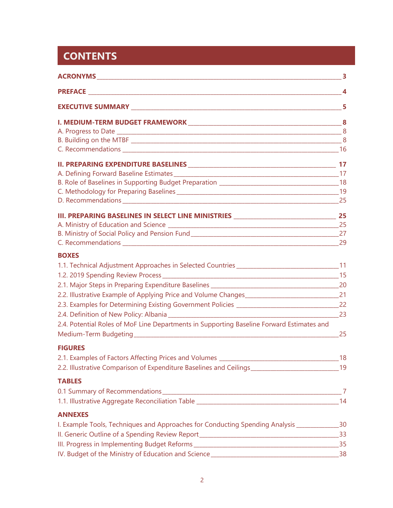## **CONTENTS**

|                                                                                                      | 5  |
|------------------------------------------------------------------------------------------------------|----|
|                                                                                                      |    |
|                                                                                                      |    |
|                                                                                                      |    |
|                                                                                                      |    |
|                                                                                                      |    |
|                                                                                                      |    |
|                                                                                                      |    |
|                                                                                                      |    |
|                                                                                                      |    |
| III. PREPARING BASELINES IN SELECT LINE MINISTRIES __________________________________ 25             |    |
|                                                                                                      |    |
|                                                                                                      |    |
|                                                                                                      |    |
| <b>BOXES</b>                                                                                         |    |
| 1.1. Technical Adjustment Approaches in Selected Countries __________________________________11      |    |
|                                                                                                      |    |
|                                                                                                      |    |
| 2.2. Illustrative Example of Applying Price and Volume Changes________________________________21     |    |
|                                                                                                      |    |
|                                                                                                      |    |
| 2.4. Potential Roles of MoF Line Departments in Supporting Baseline Forward Estimates and            |    |
|                                                                                                      | 25 |
| <b>FIGURES</b>                                                                                       |    |
|                                                                                                      |    |
| 2.2. Illustrative Comparison of Expenditure Baselines and Ceilings________________________________19 |    |
| <b>TABLES</b>                                                                                        |    |
|                                                                                                      |    |
|                                                                                                      |    |
| <b>ANNEXES</b>                                                                                       |    |
| I. Example Tools, Techniques and Approaches for Conducting Spending Analysis _______________30       |    |
|                                                                                                      |    |
|                                                                                                      |    |
|                                                                                                      |    |
|                                                                                                      |    |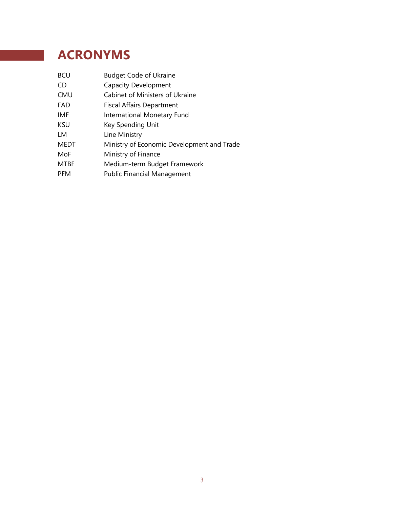## **ACRONYMS**

| <b>BCU</b>  | <b>Budget Code of Ukraine</b>              |
|-------------|--------------------------------------------|
| CD          | <b>Capacity Development</b>                |
| CMU         | Cabinet of Ministers of Ukraine            |
| FAD         | <b>Fiscal Affairs Department</b>           |
| IMF         | International Monetary Fund                |
| <b>KSU</b>  | Key Spending Unit                          |
| LМ          | Line Ministry                              |
| <b>MEDT</b> | Ministry of Economic Development and Trade |
| MoF         | Ministry of Finance                        |
| <b>MTBF</b> | Medium-term Budget Framework               |
| <b>PFM</b>  | <b>Public Financial Management</b>         |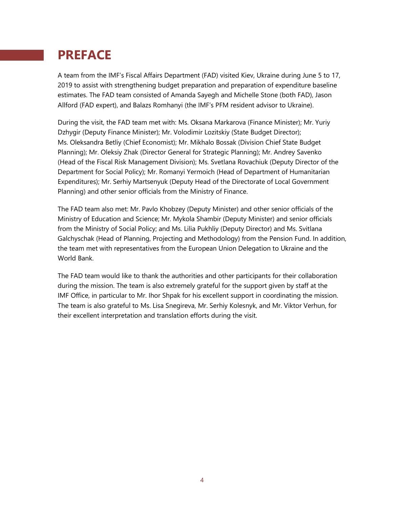## **PREFACE**

A team from the IMF's Fiscal Affairs Department (FAD) visited Kiev, Ukraine during June 5 to 17, 2019 to assist with strengthening budget preparation and preparation of expenditure baseline estimates. The FAD team consisted of Amanda Sayegh and Michelle Stone (both FAD), Jason Allford (FAD expert), and Balazs Romhanyi (the IMF's PFM resident advisor to Ukraine).

During the visit, the FAD team met with: Ms. Oksana Markarova (Finance Minister); Mr. Yuriy Dzhygir (Deputy Finance Minister); Mr. Volodimir Lozitskiy (State Budget Director); Ms. Oleksandra Betliy (Chief Economist); Mr. Mikhalo Bossak (Division Chief State Budget Planning); Mr. Oleksiy Zhak (Director General for Strategic Planning); Mr. Andrey Savenko (Head of the Fiscal Risk Management Division); Ms. Svetlana Rovachiuk (Deputy Director of the Department for Social Policy); Mr. Romanyi Yermoich (Head of Department of Humanitarian Expenditures); Mr. Serhiy Martsenyuk (Deputy Head of the Directorate of Local Government Planning) and other senior officials from the Ministry of Finance.

The FAD team also met: Mr. Pavlo Khobzey (Deputy Minister) and other senior officials of the Ministry of Education and Science; Mr. Mykola Shambir (Deputy Minister) and senior officials from the Ministry of Social Policy; and Ms. Lilia Pukhliy (Deputy Director) and Ms. Svitlana Galchyschak (Head of Planning, Projecting and Methodology) from the Pension Fund. In addition, the team met with representatives from the European Union Delegation to Ukraine and the World Bank.

The FAD team would like to thank the authorities and other participants for their collaboration during the mission. The team is also extremely grateful for the support given by staff at the IMF Office, in particular to Mr. Ihor Shpak for his excellent support in coordinating the mission. The team is also grateful to Ms. Lisa Snegireva, Mr. Serhiy Kolesnyk, and Mr. Viktor Verhun, for their excellent interpretation and translation efforts during the visit.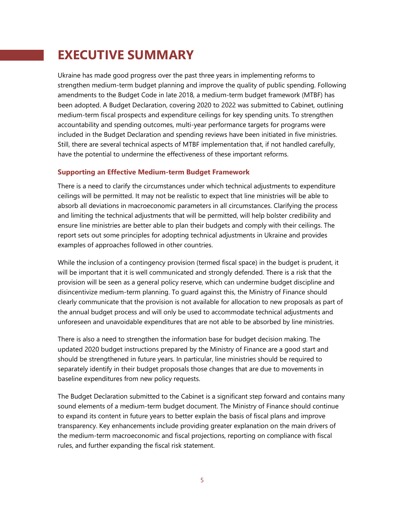## **EXECUTIVE SUMMARY**

Ukraine has made good progress over the past three years in implementing reforms to strengthen medium-term budget planning and improve the quality of public spending. Following amendments to the Budget Code in late 2018, a medium-term budget framework (MTBF) has been adopted. A Budget Declaration, covering 2020 to 2022 was submitted to Cabinet, outlining medium-term fiscal prospects and expenditure ceilings for key spending units. To strengthen accountability and spending outcomes, multi-year performance targets for programs were included in the Budget Declaration and spending reviews have been initiated in five ministries. Still, there are several technical aspects of MTBF implementation that, if not handled carefully, have the potential to undermine the effectiveness of these important reforms.

#### **Supporting an Effective Medium-term Budget Framework**

There is a need to clarify the circumstances under which technical adjustments to expenditure ceilings will be permitted. It may not be realistic to expect that line ministries will be able to absorb all deviations in macroeconomic parameters in all circumstances. Clarifying the process and limiting the technical adjustments that will be permitted, will help bolster credibility and ensure line ministries are better able to plan their budgets and comply with their ceilings. The report sets out some principles for adopting technical adjustments in Ukraine and provides examples of approaches followed in other countries.

While the inclusion of a contingency provision (termed fiscal space) in the budget is prudent, it will be important that it is well communicated and strongly defended. There is a risk that the provision will be seen as a general policy reserve, which can undermine budget discipline and disincentivize medium-term planning. To guard against this, the Ministry of Finance should clearly communicate that the provision is not available for allocation to new proposals as part of the annual budget process and will only be used to accommodate technical adjustments and unforeseen and unavoidable expenditures that are not able to be absorbed by line ministries.

There is also a need to strengthen the information base for budget decision making. The updated 2020 budget instructions prepared by the Ministry of Finance are a good start and should be strengthened in future years. In particular, line ministries should be required to separately identify in their budget proposals those changes that are due to movements in baseline expenditures from new policy requests.

The Budget Declaration submitted to the Cabinet is a significant step forward and contains many sound elements of a medium-term budget document. The Ministry of Finance should continue to expand its content in future years to better explain the basis of fiscal plans and improve transparency. Key enhancements include providing greater explanation on the main drivers of the medium-term macroeconomic and fiscal projections, reporting on compliance with fiscal rules, and further expanding the fiscal risk statement.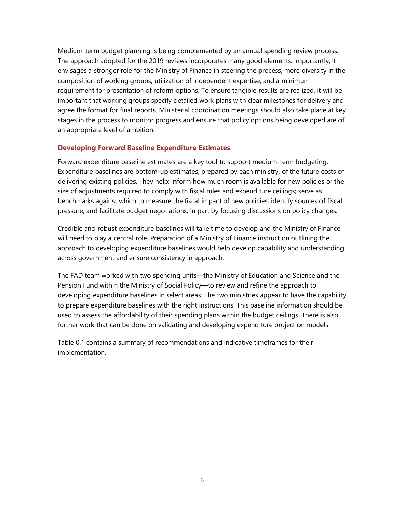Medium-term budget planning is being complemented by an annual spending review process. The approach adopted for the 2019 reviews incorporates many good elements. Importantly, it envisages a stronger role for the Ministry of Finance in steering the process, more diversity in the composition of working groups, utilization of independent expertise, and a minimum requirement for presentation of reform options. To ensure tangible results are realized, it will be important that working groups specify detailed work plans with clear milestones for delivery and agree the format for final reports. Ministerial coordination meetings should also take place at key stages in the process to monitor progress and ensure that policy options being developed are of an appropriate level of ambition.

#### **Developing Forward Baseline Expenditure Estimates**

Forward expenditure baseline estimates are a key tool to support medium-term budgeting. Expenditure baselines are bottom-up estimates, prepared by each ministry, of the future costs of delivering existing policies. They help: inform how much room is available for new policies or the size of adjustments required to comply with fiscal rules and expenditure ceilings; serve as benchmarks against which to measure the fiscal impact of new policies; identify sources of fiscal pressure; and facilitate budget negotiations, in part by focusing discussions on policy changes.

Credible and robust expenditure baselines will take time to develop and the Ministry of Finance will need to play a central role. Preparation of a Ministry of Finance instruction outlining the approach to developing expenditure baselines would help develop capability and understanding across government and ensure consistency in approach.

The FAD team worked with two spending units—the Ministry of Education and Science and the Pension Fund within the Ministry of Social Policy—to review and refine the approach to developing expenditure baselines in select areas. The two ministries appear to have the capability to prepare expenditure baselines with the right instructions. This baseline information should be used to assess the affordability of their spending plans within the budget ceilings. There is also further work that can be done on validating and developing expenditure projection models.

Table 0.1 contains a summary of recommendations and indicative timeframes for their implementation.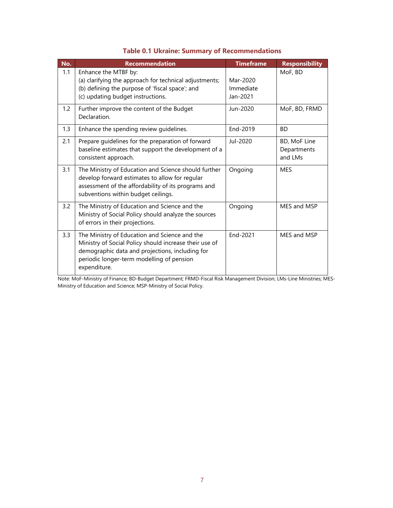| No. | Recommendation                                                                                                                                                                                                          | <b>Timeframe</b>                  | <b>Responsibility</b>                  |
|-----|-------------------------------------------------------------------------------------------------------------------------------------------------------------------------------------------------------------------------|-----------------------------------|----------------------------------------|
| 1.1 | Enhance the MTBF by:<br>(a) clarifying the approach for technical adjustments;<br>(b) defining the purpose of 'fiscal space'; and<br>(c) updating budget instructions.                                                  | Mar-2020<br>Immediate<br>Jan-2021 | MoF, BD                                |
| 1.2 | Further improve the content of the Budget<br>Declaration.                                                                                                                                                               | Jun-2020                          | MoF, BD, FRMD                          |
| 1.3 | Enhance the spending review guidelines.                                                                                                                                                                                 | End-2019                          | <b>BD</b>                              |
| 2.1 | Prepare guidelines for the preparation of forward<br>baseline estimates that support the development of a<br>consistent approach.                                                                                       | Jul-2020                          | BD, MoF Line<br>Departments<br>and LMs |
| 3.1 | The Ministry of Education and Science should further<br>develop forward estimates to allow for regular<br>assessment of the affordability of its programs and<br>subventions within budget ceilings.                    | Ongoing                           | <b>MES</b>                             |
| 3.2 | The Ministry of Education and Science and the<br>Ministry of Social Policy should analyze the sources<br>of errors in their projections.                                                                                | Ongoing                           | MES and MSP                            |
| 3.3 | The Ministry of Education and Science and the<br>Ministry of Social Policy should increase their use of<br>demographic data and projections, including for<br>periodic longer-term modelling of pension<br>expenditure. | End-2021                          | MES and MSP                            |

#### **Table 0.1 Ukraine: Summary of Recommendations**

Note: MoF-Ministry of Finance; BD-Budget Department; FRMD-Fiscal Risk Management Division; LMs-Line Ministries; MES-Ministry of Education and Science; MSP-Ministry of Social Policy.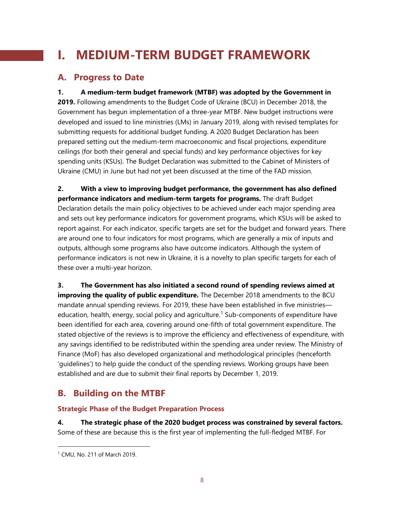## **I. MEDIUM-TERM BUDGET FRAMEWORK**

### **A. Progress to Date**

**1. A medium-term budget framework (MTBF) was adopted by the Government in 2019.** Following amendments to the Budget Code of Ukraine (BCU) in December 2018, the Government has begun implementation of a three-year MTBF. New budget instructions were developed and issued to line ministries (LMs) in January 2019, along with revised templates for submitting requests for additional budget funding. A 2020 Budget Declaration has been prepared setting out the medium-term macroeconomic and fiscal projections, expenditure ceilings (for both their general and special funds) and key performance objectives for key spending units (KSUs). The Budget Declaration was submitted to the Cabinet of Ministers of Ukraine (CMU) in June but had not yet been discussed at the time of the FAD mission.

**2. With a view to improving budget performance, the government has also defined performance indicators and medium-term targets for programs.** The draft Budget Declaration details the main policy objectives to be achieved under each major spending area and sets out key performance indicators for government programs, which KSUs will be asked to report against. For each indicator, specific targets are set for the budget and forward years. There are around one to four indicators for most programs, which are generally a mix of inputs and outputs, although some programs also have outcome indicators. Although the system of performance indicators is not new in Ukraine, it is a novelty to plan specific targets for each of these over a multi-year horizon.

**3. The Government has also initiated a second round of spending reviews aimed at improving the quality of public expenditure.** The December 2018 amendments to the BCU mandate annual spending reviews. For 2019, these have been established in five ministries education, health, energy, social policy and agriculture. [1](#page-8-0) Sub-components of expenditure have been identified for each area, covering around one-fifth of total government expenditure. The stated objective of the reviews is to improve the efficiency and effectiveness of expenditure, with any savings identified to be redistributed within the spending area under review. The Ministry of Finance (MoF) has also developed organizational and methodological principles (henceforth 'guidelines') to help guide the conduct of the spending reviews. Working groups have been established and are due to submit their final reports by December 1, 2019.

### **B. Building on the MTBF**

#### **Strategic Phase of the Budget Preparation Process**

**4. The strategic phase of the 2020 budget process was constrained by several factors.**  Some of these are because this is the first year of implementing the full-fledged MTBF. For

<span id="page-8-0"></span> <sup>1</sup> CMU, No. 211 of March 2019.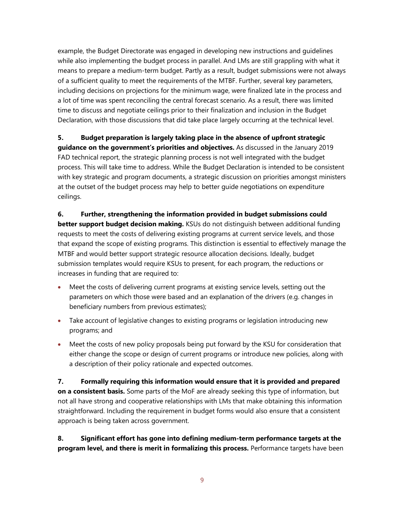example, the Budget Directorate was engaged in developing new instructions and guidelines while also implementing the budget process in parallel. And LMs are still grappling with what it means to prepare a medium-term budget. Partly as a result, budget submissions were not always of a sufficient quality to meet the requirements of the MTBF. Further, several key parameters, including decisions on projections for the minimum wage, were finalized late in the process and a lot of time was spent reconciling the central forecast scenario. As a result, there was limited time to discuss and negotiate ceilings prior to their finalization and inclusion in the Budget Declaration, with those discussions that did take place largely occurring at the technical level.

### **5. Budget preparation is largely taking place in the absence of upfront strategic guidance on the government's priorities and objectives.** As discussed in the January 2019 FAD technical report, the strategic planning process is not well integrated with the budget process. This will take time to address. While the Budget Declaration is intended to be consistent with key strategic and program documents, a strategic discussion on priorities amongst ministers at the outset of the budget process may help to better guide negotiations on expenditure ceilings.

#### **6. Further, strengthening the information provided in budget submissions could better support budget decision making.** KSUs do not distinguish between additional funding requests to meet the costs of delivering existing programs at current service levels, and those that expand the scope of existing programs. This distinction is essential to effectively manage the MTBF and would better support strategic resource allocation decisions. Ideally, budget submission templates would require KSUs to present, for each program, the reductions or increases in funding that are required to:

- Meet the costs of delivering current programs at existing service levels, setting out the parameters on which those were based and an explanation of the drivers (e.g. changes in beneficiary numbers from previous estimates);
- Take account of legislative changes to existing programs or legislation introducing new programs; and
- Meet the costs of new policy proposals being put forward by the KSU for consideration that either change the scope or design of current programs or introduce new policies, along with a description of their policy rationale and expected outcomes.

**7. Formally requiring this information would ensure that it is provided and prepared on a consistent basis.** Some parts of the MoF are already seeking this type of information, but not all have strong and cooperative relationships with LMs that make obtaining this information straightforward. Including the requirement in budget forms would also ensure that a consistent approach is being taken across government.

**8. Significant effort has gone into defining medium-term performance targets at the program level, and there is merit in formalizing this process.** Performance targets have been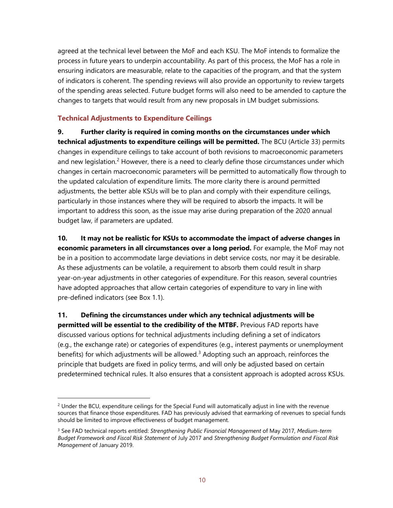agreed at the technical level between the MoF and each KSU. The MoF intends to formalize the process in future years to underpin accountability. As part of this process, the MoF has a role in ensuring indicators are measurable, relate to the capacities of the program, and that the system of indicators is coherent. The spending reviews will also provide an opportunity to review targets of the spending areas selected. Future budget forms will also need to be amended to capture the changes to targets that would result from any new proposals in LM budget submissions.

#### **Technical Adjustments to Expenditure Ceilings**

**9. Further clarity is required in coming months on the circumstances under which technical adjustments to expenditure ceilings will be permitted.** The BCU (Article 33) permits changes in expenditure ceilings to take account of both revisions to macroeconomic parameters and new legislation.<sup>[2](#page-10-0)</sup> However, there is a need to clearly define those circumstances under which changes in certain macroeconomic parameters will be permitted to automatically flow through to the updated calculation of expenditure limits. The more clarity there is around permitted adjustments, the better able KSUs will be to plan and comply with their expenditure ceilings, particularly in those instances where they will be required to absorb the impacts. It will be important to address this soon, as the issue may arise during preparation of the 2020 annual budget law, if parameters are updated.

**10. It may not be realistic for KSUs to accommodate the impact of adverse changes in economic parameters in all circumstances over a long period.** For example, the MoF may not be in a position to accommodate large deviations in debt service costs, nor may it be desirable. As these adjustments can be volatile, a requirement to absorb them could result in sharp year-on-year adjustments in other categories of expenditure. For this reason, several countries have adopted approaches that allow certain categories of expenditure to vary in line with pre-defined indicators (see Box 1.1).

**11. Defining the circumstances under which any technical adjustments will be permitted will be essential to the credibility of the MTBF.** Previous FAD reports have discussed various options for technical adjustments including defining a set of indicators (e.g., the exchange rate) or categories of expenditures (e.g., interest payments or unemployment benefits) for which adjustments will be allowed.<sup>[3](#page-10-1)</sup> Adopting such an approach, reinforces the principle that budgets are fixed in policy terms, and will only be adjusted based on certain predetermined technical rules. It also ensures that a consistent approach is adopted across KSUs.

<span id="page-10-0"></span> $2$  Under the BCU, expenditure ceilings for the Special Fund will automatically adjust in line with the revenue sources that finance those expenditures. FAD has previously advised that earmarking of revenues to special funds should be limited to improve effectiveness of budget management.

<span id="page-10-1"></span><sup>3</sup> See FAD technical reports entitled: *Strengthening Public Financial Management* of May 2017, *Medium-term Budget Framework and Fiscal Risk Statement* of July 2017 and *Strengthening Budget Formulation and Fiscal Risk Management* of January 2019.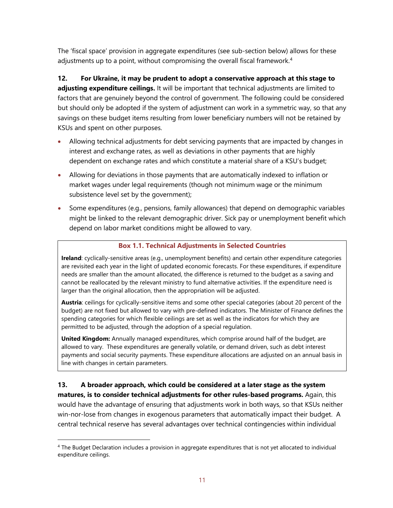The 'fiscal space' provision in aggregate expenditures (see sub-section below) allows for these adjustments up to a point, without compromising the overall fiscal framework.<sup>[4](#page-11-0)</sup>

**12. For Ukraine, it may be prudent to adopt a conservative approach at this stage to adjusting expenditure ceilings.** It will be important that technical adjustments are limited to factors that are genuinely beyond the control of government. The following could be considered but should only be adopted if the system of adjustment can work in a symmetric way, so that any savings on these budget items resulting from lower beneficiary numbers will not be retained by KSUs and spent on other purposes.

- Allowing technical adjustments for debt servicing payments that are impacted by changes in interest and exchange rates, as well as deviations in other payments that are highly dependent on exchange rates and which constitute a material share of a KSU's budget;
- Allowing for deviations in those payments that are automatically indexed to inflation or market wages under legal requirements (though not minimum wage or the minimum subsistence level set by the government);
- Some expenditures (e.g., pensions, family allowances) that depend on demographic variables might be linked to the relevant demographic driver. Sick pay or unemployment benefit which depend on labor market conditions might be allowed to vary.

#### **Box 1.1. Technical Adjustments in Selected Countries**

**Ireland**: cyclically-sensitive areas (e.g., unemployment benefits) and certain other expenditure categories are revisited each year in the light of updated economic forecasts. For these expenditures, if expenditure needs are smaller than the amount allocated, the difference is returned to the budget as a saving and cannot be reallocated by the relevant ministry to fund alternative activities. If the expenditure need is larger than the original allocation, then the appropriation will be adjusted.

**Austria**: ceilings for cyclically-sensitive items and some other special categories (about 20 percent of the budget) are not fixed but allowed to vary with pre-defined indicators. The Minister of Finance defines the spending categories for which flexible ceilings are set as well as the indicators for which they are permitted to be adjusted, through the adoption of a special regulation.

**United Kingdom:** Annually managed expenditures, which comprise around half of the budget, are allowed to vary. These expenditures are generally volatile, or demand driven, such as debt interest payments and social security payments. These expenditure allocations are adjusted on an annual basis in line with changes in certain parameters.

**13. A broader approach, which could be considered at a later stage as the system matures, is to consider technical adjustments for other rules-based programs.** Again, this would have the advantage of ensuring that adjustments work in both ways, so that KSUs neither win-nor-lose from changes in exogenous parameters that automatically impact their budget. A central technical reserve has several advantages over technical contingencies within individual

<span id="page-11-0"></span> <sup>4</sup> The Budget Declaration includes a provision in aggregate expenditures that is not yet allocated to individual expenditure ceilings.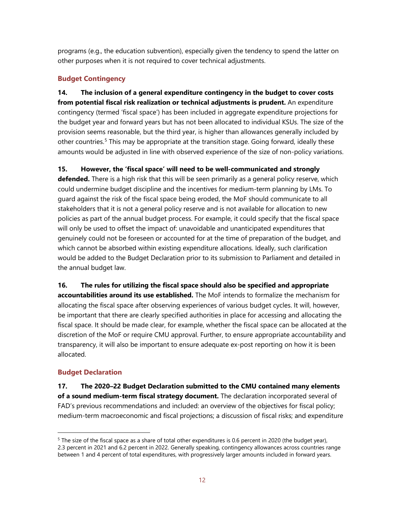programs (e.g., the education subvention), especially given the tendency to spend the latter on other purposes when it is not required to cover technical adjustments.

#### **Budget Contingency**

**14. The inclusion of a general expenditure contingency in the budget to cover costs from potential fiscal risk realization or technical adjustments is prudent.** An expenditure contingency (termed 'fiscal space') has been included in aggregate expenditure projections for the budget year and forward years but has not been allocated to individual KSUs. The size of the provision seems reasonable, but the third year, is higher than allowances generally included by other countries.<sup>[5](#page-12-0)</sup> This may be appropriate at the transition stage. Going forward, ideally these amounts would be adjusted in line with observed experience of the size of non-policy variations.

**15. However, the 'fiscal space' will need to be well-communicated and strongly defended.** There is a high risk that this will be seen primarily as a general policy reserve, which could undermine budget discipline and the incentives for medium-term planning by LMs. To guard against the risk of the fiscal space being eroded, the MoF should communicate to all stakeholders that it is not a general policy reserve and is not available for allocation to new policies as part of the annual budget process. For example, it could specify that the fiscal space will only be used to offset the impact of: unavoidable and unanticipated expenditures that genuinely could not be foreseen or accounted for at the time of preparation of the budget, and which cannot be absorbed within existing expenditure allocations. Ideally, such clarification would be added to the Budget Declaration prior to its submission to Parliament and detailed in the annual budget law.

**16. The rules for utilizing the fiscal space should also be specified and appropriate accountabilities around its use established.** The MoF intends to formalize the mechanism for allocating the fiscal space after observing experiences of various budget cycles. It will, however, be important that there are clearly specified authorities in place for accessing and allocating the fiscal space. It should be made clear, for example, whether the fiscal space can be allocated at the discretion of the MoF or require CMU approval. Further, to ensure appropriate accountability and transparency, it will also be important to ensure adequate ex-post reporting on how it is been allocated.

### **Budget Declaration**

**17. The 2020–22 Budget Declaration submitted to the CMU contained many elements of a sound medium-term fiscal strategy document.** The declaration incorporated several of FAD's previous recommendations and included: an overview of the objectives for fiscal policy; medium-term macroeconomic and fiscal projections; a discussion of fiscal risks; and expenditure

<span id="page-12-0"></span> $5$  The size of the fiscal space as a share of total other expenditures is 0.6 percent in 2020 (the budget year), 2.3 percent in 2021 and 6.2 percent in 2022. Generally speaking, contingency allowances across countries range between 1 and 4 percent of total expenditures, with progressively larger amounts included in forward years.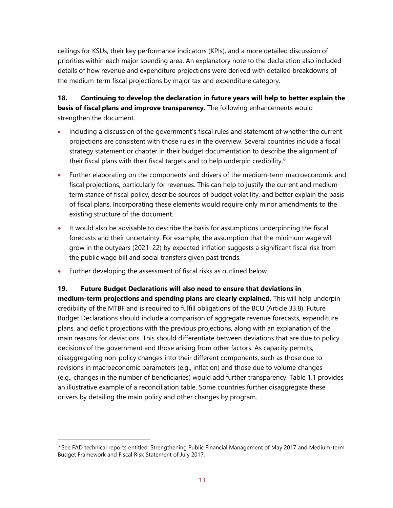ceilings for KSUs, their key performance indicators (KPIs), and a more detailed discussion of priorities within each major spending area. An explanatory note to the declaration also included details of how revenue and expenditure projections were derived with detailed breakdowns of the medium-term fiscal projections by major tax and expenditure category.

#### **18. Continuing to develop the declaration in future years will help to better explain the basis of fiscal plans and improve transparency.** The following enhancements would strengthen the document.

- Including a discussion of the government's fiscal rules and statement of whether the current projections are consistent with those rules in the overview. Several countries include a fiscal strategy statement or chapter in their budget documentation to describe the alignment of their fiscal plans with their fiscal targets and to help underpin credibility.<sup>[6](#page-13-0)</sup>
- Further elaborating on the components and drivers of the medium-term macroeconomic and fiscal projections, particularly for revenues. This can help to justify the current and mediumterm stance of fiscal policy, describe sources of budget volatility, and better explain the basis of fiscal plans. Incorporating these elements would require only minor amendments to the existing structure of the document.
- It would also be advisable to describe the basis for assumptions underpinning the fiscal forecasts and their uncertainty. For example, the assumption that the minimum wage will grow in the outyears (2021–22) by expected inflation suggests a significant fiscal risk from the public wage bill and social transfers given past trends.
- Further developing the assessment of fiscal risks as outlined below.

**19. Future Budget Declarations will also need to ensure that deviations in medium-term projections and spending plans are clearly explained.** This will help underpin credibility of the MTBF and is required to fulfill obligations of the BCU (Article 33.8). Future Budget Declarations should include a comparison of aggregate revenue forecasts, expenditure plans, and deficit projections with the previous projections, along with an explanation of the main reasons for deviations. This should differentiate between deviations that are due to policy decisions of the government and those arising from other factors. As capacity permits, disaggregating non-policy changes into their different components, such as those due to revisions in macroeconomic parameters (e.g., inflation) and those due to volume changes (e.g., changes in the number of beneficiaries) would add further transparency. Table 1.1 provides an illustrative example of a reconciliation table. Some countries further disaggregate these drivers by detailing the main policy and other changes by program.

<span id="page-13-0"></span> $6$  See FAD technical reports entitled: Strengthening Public Financial Management of May 2017 and Medium-term Budget Framework and Fiscal Risk Statement of July 2017.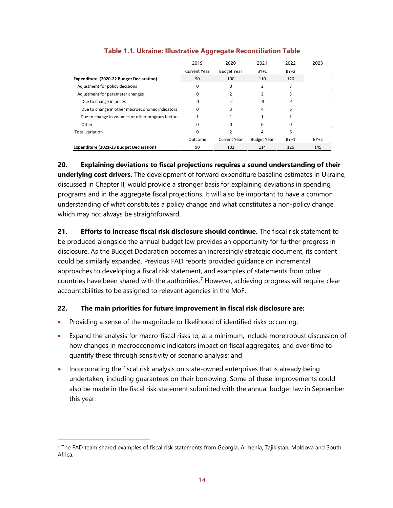|                                                   | 2019         | 2020                | 2021               | 2022     | 2023   |
|---------------------------------------------------|--------------|---------------------|--------------------|----------|--------|
|                                                   | Current Year | <b>Budget Year</b>  | $BY+1$             | $BY+2$   |        |
| Expenditure (2020-22 Budget Declaration)          | 90           | 100                 | 110                | 120      |        |
| Adjustment for policy decisions                   | 0            | 0                   | $\overline{2}$     | 3        |        |
| Adjustment for parameter changes                  | 0            | 2                   | 2                  | 3        |        |
| Due to change in prices                           | $-1$         | $-2$                | -3                 | -4       |        |
| Due to change in other macroeconomic indicators   | 0            | 3                   | 4                  | 6        |        |
| Due to change in volumes or other program factors |              |                     |                    |          |        |
| Other                                             | 0            | 0                   | $\Omega$           | $\Omega$ |        |
| <b>Total variation</b>                            | 0            | $\mathcal{P}$       | 4                  | 6        |        |
|                                                   | Outcome      | <b>Current Year</b> | <b>Budget Year</b> | $BY+1$   | $BY+2$ |
| Expenditure (2021-23 Budget Declaration)          | 90           | 102                 | 114                | 126      | 145    |

#### **Table 1.1. Ukraine: Illustrative Aggregate Reconciliation Table**

**20. Explaining deviations to fiscal projections requires a sound understanding of their underlying cost drivers.** The development of forward expenditure baseline estimates in Ukraine, discussed in Chapter II, would provide a stronger basis for explaining deviations in spending programs and in the aggregate fiscal projections. It will also be important to have a common understanding of what constitutes a policy change and what constitutes a non-policy change, which may not always be straightforward.

**21. Efforts to increase fiscal risk disclosure should continue.** The fiscal risk statement to be produced alongside the annual budget law provides an opportunity for further progress in disclosure. As the Budget Declaration becomes an increasingly strategic document, its content could be similarly expanded. Previous FAD reports provided guidance on incremental approaches to developing a fiscal risk statement, and examples of statements from other countries have been shared with the authorities.<sup>[7](#page-14-0)</sup> However, achieving progress will require clear accountabilities to be assigned to relevant agencies in the MoF.

#### **22. The main priorities for future improvement in fiscal risk disclosure are:**

- Providing a sense of the magnitude or likelihood of identified risks occurring;
- Expand the analysis for macro-fiscal risks to, at a minimum, include more robust discussion of how changes in macroeconomic indicators impact on fiscal aggregates, and over time to quantify these through sensitivity or scenario analysis; and
- Incorporating the fiscal risk analysis on state-owned enterprises that is already being undertaken, including guarantees on their borrowing. Some of these improvements could also be made in the fiscal risk statement submitted with the annual budget law in September this year.

<span id="page-14-0"></span> $<sup>7</sup>$  The FAD team shared examples of fiscal risk statements from Georgia, Armenia, Tajikistan, Moldova and South</sup> Africa.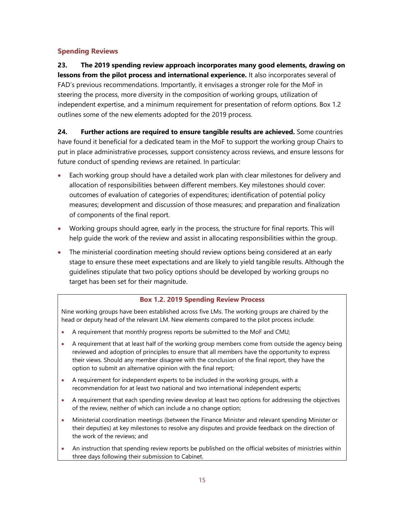#### **Spending Reviews**

**23. The 2019 spending review approach incorporates many good elements, drawing on lessons from the pilot process and international experience.** It also incorporates several of FAD's previous recommendations. Importantly, it envisages a stronger role for the MoF in steering the process, more diversity in the composition of working groups, utilization of independent expertise, and a minimum requirement for presentation of reform options. Box 1.2 outlines some of the new elements adopted for the 2019 process.

**24. Further actions are required to ensure tangible results are achieved.** Some countries have found it beneficial for a dedicated team in the MoF to support the working group Chairs to put in place administrative processes, support consistency across reviews, and ensure lessons for future conduct of spending reviews are retained. In particular:

- Each working group should have a detailed work plan with clear milestones for delivery and allocation of responsibilities between different members. Key milestones should cover: outcomes of evaluation of categories of expenditures; identification of potential policy measures; development and discussion of those measures; and preparation and finalization of components of the final report.
- Working groups should agree, early in the process, the structure for final reports. This will help guide the work of the review and assist in allocating responsibilities within the group.
- The ministerial coordination meeting should review options being considered at an early stage to ensure these meet expectations and are likely to yield tangible results. Although the guidelines stipulate that two policy options should be developed by working groups no target has been set for their magnitude.

#### **Box 1.2. 2019 Spending Review Process**

Nine working groups have been established across five LMs. The working groups are chaired by the head or deputy head of the relevant LM. New elements compared to the pilot process include:

- A requirement that monthly progress reports be submitted to the MoF and CMU;
- A requirement that at least half of the working group members come from outside the agency being reviewed and adoption of principles to ensure that all members have the opportunity to express their views. Should any member disagree with the conclusion of the final report, they have the option to submit an alternative opinion with the final report;
- A requirement for independent experts to be included in the working groups, with a recommendation for at least two national and two international independent experts;
- A requirement that each spending review develop at least two options for addressing the objectives of the review, neither of which can include a no change option;
- Ministerial coordination meetings (between the Finance Minister and relevant spending Minister or their deputies) at key milestones to resolve any disputes and provide feedback on the direction of the work of the reviews; and
- An instruction that spending review reports be published on the official websites of ministries within three days following their submission to Cabinet.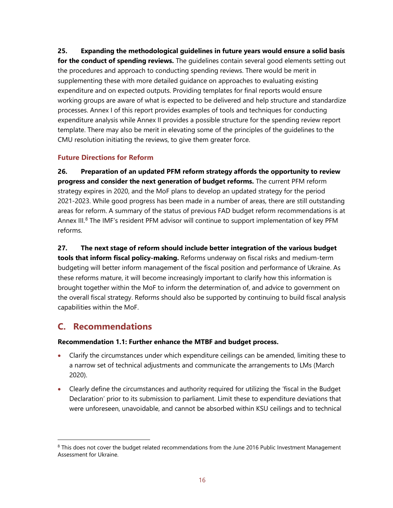**25. Expanding the methodological guidelines in future years would ensure a solid basis for the conduct of spending reviews.** The guidelines contain several good elements setting out the procedures and approach to conducting spending reviews. There would be merit in supplementing these with more detailed guidance on approaches to evaluating existing expenditure and on expected outputs. Providing templates for final reports would ensure working groups are aware of what is expected to be delivered and help structure and standardize processes. Annex I of this report provides examples of tools and techniques for conducting expenditure analysis while Annex II provides a possible structure for the spending review report template. There may also be merit in elevating some of the principles of the guidelines to the CMU resolution initiating the reviews, to give them greater force.

#### **Future Directions for Reform**

**26. Preparation of an updated PFM reform strategy affords the opportunity to review progress and consider the next generation of budget reforms.** The current PFM reform strategy expires in 2020, and the MoF plans to develop an updated strategy for the period 2021-2023. While good progress has been made in a number of areas, there are still outstanding areas for reform. A summary of the status of previous FAD budget reform recommendations is at Annex III.<sup>[8](#page-16-0)</sup> The IMF's resident PFM advisor will continue to support implementation of key PFM reforms.

**27. The next stage of reform should include better integration of the various budget tools that inform fiscal policy-making.** Reforms underway on fiscal risks and medium-term budgeting will better inform management of the fiscal position and performance of Ukraine. As these reforms mature, it will become increasingly important to clarify how this information is brought together within the MoF to inform the determination of, and advice to government on the overall fiscal strategy. Reforms should also be supported by continuing to build fiscal analysis capabilities within the MoF.

## **C. Recommendations**

#### **Recommendation 1.1: Further enhance the MTBF and budget process.**

- Clarify the circumstances under which expenditure ceilings can be amended, limiting these to a narrow set of technical adjustments and communicate the arrangements to LMs (March 2020).
- Clearly define the circumstances and authority required for utilizing the 'fiscal in the Budget Declaration' prior to its submission to parliament. Limit these to expenditure deviations that were unforeseen, unavoidable, and cannot be absorbed within KSU ceilings and to technical

<span id="page-16-0"></span><sup>&</sup>lt;sup>8</sup> This does not cover the budget related recommendations from the June 2016 Public Investment Management Assessment for Ukraine.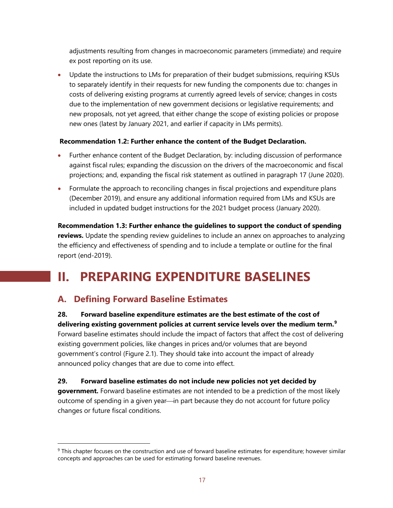adjustments resulting from changes in macroeconomic parameters (immediate) and require ex post reporting on its use.

• Update the instructions to LMs for preparation of their budget submissions, requiring KSUs to separately identify in their requests for new funding the components due to: changes in costs of delivering existing programs at currently agreed levels of service; changes in costs due to the implementation of new government decisions or legislative requirements; and new proposals, not yet agreed, that either change the scope of existing policies or propose new ones (latest by January 2021, and earlier if capacity in LMs permits).

#### **Recommendation 1.2: Further enhance the content of the Budget Declaration.**

- Further enhance content of the Budget Declaration, by: including discussion of performance against fiscal rules; expanding the discussion on the drivers of the macroeconomic and fiscal projections; and, expanding the fiscal risk statement as outlined in paragraph 17 (June 2020).
- Formulate the approach to reconciling changes in fiscal projections and expenditure plans (December 2019), and ensure any additional information required from LMs and KSUs are included in updated budget instructions for the 2021 budget process (January 2020).

**Recommendation 1.3: Further enhance the guidelines to support the conduct of spending reviews.** Update the spending review guidelines to include an annex on approaches to analyzing the efficiency and effectiveness of spending and to include a template or outline for the final report (end-2019).

## **II. PREPARING EXPENDITURE BASELINES**

## **A. Defining Forward Baseline Estimates**

**28. Forward baseline expenditure estimates are the best estimate of the cost of delivering existing government policies at current service levels over the medium term.[9](#page-17-0)** Forward baseline estimates should include the impact of factors that affect the cost of delivering existing government policies, like changes in prices and/or volumes that are beyond government's control (Figure 2.1). They should take into account the impact of already announced policy changes that are due to come into effect.

#### **29. Forward baseline estimates do not include new policies not yet decided by**

**government.** Forward baseline estimates are not intended to be a prediction of the most likely outcome of spending in a given year—in part because they do not account for future policy changes or future fiscal conditions.

<span id="page-17-0"></span><sup>&</sup>lt;sup>9</sup> This chapter focuses on the construction and use of forward baseline estimates for expenditure; however similar concepts and approaches can be used for estimating forward baseline revenues.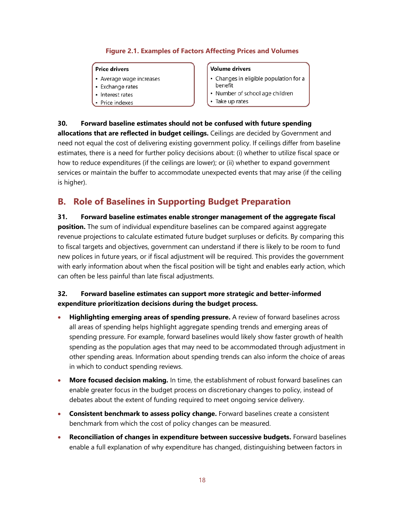#### **Figure 2.1. Examples of Factors Affecting Prices and Volumes**

#### **Price drivers**

- Average wage increases
- Exchange rates
- Interest rates
- Price indexes

#### **Volume drivers**

- Changes in eligible population for a benefit
- Number of school age children
- Take up rates

**30. Forward baseline estimates should not be confused with future spending allocations that are reflected in budget ceilings.** Ceilings are decided by Government and need not equal the cost of delivering existing government policy. If ceilings differ from baseline estimates, there is a need for further policy decisions about: (i) whether to utilize fiscal space or how to reduce expenditures (if the ceilings are lower); or (ii) whether to expand government services or maintain the buffer to accommodate unexpected events that may arise (if the ceiling is higher).

### **B. Role of Baselines in Supporting Budget Preparation**

**31. Forward baseline estimates enable stronger management of the aggregate fiscal position.** The sum of individual expenditure baselines can be compared against aggregate revenue projections to calculate estimated future budget surpluses or deficits. By comparing this to fiscal targets and objectives, government can understand if there is likely to be room to fund new polices in future years, or if fiscal adjustment will be required. This provides the government with early information about when the fiscal position will be tight and enables early action, which can often be less painful than late fiscal adjustments.

#### **32. Forward baseline estimates can support more strategic and better-informed expenditure prioritization decisions during the budget process.**

- **Highlighting emerging areas of spending pressure.** A review of forward baselines across all areas of spending helps highlight aggregate spending trends and emerging areas of spending pressure. For example, forward baselines would likely show faster growth of health spending as the population ages that may need to be accommodated through adjustment in other spending areas. Information about spending trends can also inform the choice of areas in which to conduct spending reviews.
- **More focused decision making.** In time, the establishment of robust forward baselines can enable greater focus in the budget process on discretionary changes to policy, instead of debates about the extent of funding required to meet ongoing service delivery.
- **Consistent benchmark to assess policy change.** Forward baselines create a consistent benchmark from which the cost of policy changes can be measured.
- **Reconciliation of changes in expenditure between successive budgets.** Forward baselines enable a full explanation of why expenditure has changed, distinguishing between factors in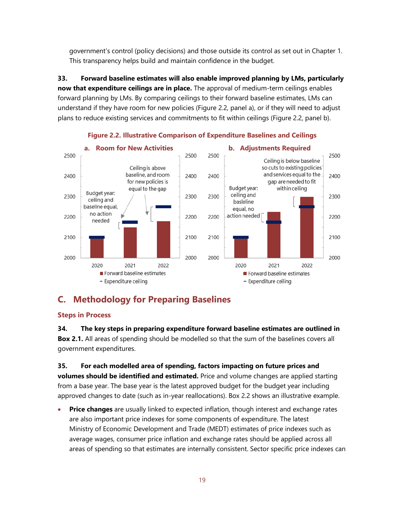government's control (policy decisions) and those outside its control as set out in Chapter 1. This transparency helps build and maintain confidence in the budget.

**33. Forward baseline estimates will also enable improved planning by LMs, particularly now that expenditure ceilings are in place.** The approval of medium-term ceilings enables forward planning by LMs. By comparing ceilings to their forward baseline estimates, LMs can understand if they have room for new policies (Figure 2.2, panel a), or if they will need to adjust plans to reduce existing services and commitments to fit within ceilings (Figure 2.2, panel b).



**Figure 2.2. Illustrative Comparison of Expenditure Baselines and Ceilings**

## **C. Methodology for Preparing Baselines**

#### **Steps in Process**

**34. The key steps in preparing expenditure forward baseline estimates are outlined in Box 2.1.** All areas of spending should be modelled so that the sum of the baselines covers all government expenditures.

#### **35. For each modelled area of spending, factors impacting on future prices and**

**volumes should be identified and estimated.** Price and volume changes are applied starting from a base year. The base year is the latest approved budget for the budget year including approved changes to date (such as in-year reallocations). Box 2.2 shows an illustrative example.

**Price changes** are usually linked to expected inflation, though interest and exchange rates are also important price indexes for some components of expenditure. The latest Ministry of Economic Development and Trade (MEDT) estimates of price indexes such as average wages, consumer price inflation and exchange rates should be applied across all areas of spending so that estimates are internally consistent. Sector specific price indexes can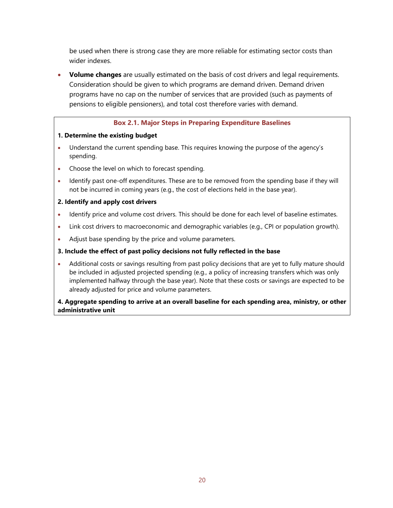be used when there is strong case they are more reliable for estimating sector costs than wider indexes.

• **Volume changes** are usually estimated on the basis of cost drivers and legal requirements. Consideration should be given to which programs are demand driven. Demand driven programs have no cap on the number of services that are provided (such as payments of pensions to eligible pensioners), and total cost therefore varies with demand.

#### **Box 2.1. Major Steps in Preparing Expenditure Baselines**

#### **1. Determine the existing budget**

- Understand the current spending base. This requires knowing the purpose of the agency's spending.
- Choose the level on which to forecast spending.
- Identify past one-off expenditures. These are to be removed from the spending base if they will not be incurred in coming years (e.g., the cost of elections held in the base year).

#### **2. Identify and apply cost drivers**

- Identify price and volume cost drivers. This should be done for each level of baseline estimates.
- Link cost drivers to macroeconomic and demographic variables (e.g., CPI or population growth).
- Adjust base spending by the price and volume parameters.

#### **3. Include the effect of past policy decisions not fully reflected in the base**

• Additional costs or savings resulting from past policy decisions that are yet to fully mature should be included in adjusted projected spending (e.g., a policy of increasing transfers which was only implemented halfway through the base year). Note that these costs or savings are expected to be already adjusted for price and volume parameters.

#### **4. Aggregate spending to arrive at an overall baseline for each spending area, ministry, or other administrative unit**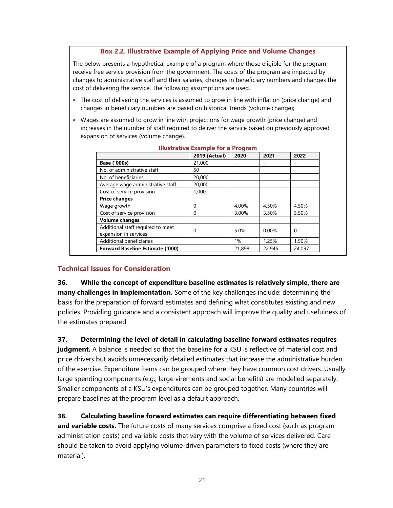#### **Box 2.2. Illustrative Example of Applying Price and Volume Changes**

The below presents a hypothetical example of a program where those eligible for the program receive free service provision from the government. The costs of the program are impacted by changes to administrative staff and their salaries, changes in beneficiary numbers and changes the cost of delivering the service. The following assumptions are used.

- The cost of delivering the services is assumed to grow in line with inflation (price change) and changes in beneficiary numbers are based on historical trends (volume change);
- Wages are assumed to grow in line with projections for wage growth (price change) and increases in the number of staff required to deliver the service based on previously approved expansion of services (volume change).

| <u>INUSU AUVE LAANIDIE TUL A FTUUTANII</u> |                      |        |          |        |
|--------------------------------------------|----------------------|--------|----------|--------|
|                                            | <b>2019 (Actual)</b> | 2020   | 2021     | 2022   |
| Base ('000s)                               | 21,000               |        |          |        |
| No. of administrative staff                | 50                   |        |          |        |
| No. of beneficiaries                       | 20,000               |        |          |        |
| Average wage administrative staff          | 20,000               |        |          |        |
| Cost of service provision                  | 1.000                |        |          |        |
| <b>Price changes</b>                       |                      |        |          |        |
| Wage growth                                | $\Omega$             | 4.00%  | 4.50%    | 4.50%  |
| Cost of service provision                  | $\Omega$             | 3.00%  | 3.50%    | 3.50%  |
| <b>Volume changes</b>                      |                      |        |          |        |
| Additional staff required to meet          |                      | 5.0%   | $0.00\%$ | 0      |
| expansion in services                      | $\Omega$             |        |          |        |
| Additional beneficiaries                   |                      | 1%     | 1.25%    | 1.50%  |
| <b>Forward Baseline Estimate ('000)</b>    |                      | 21,898 | 22,945   | 24.097 |

#### **Illustrative Example for a Program**

#### **Technical Issues for Consideration**

**36. While the concept of expenditure baseline estimates is relatively simple, there are many challenges in implementation.** Some of the key challenges include: determining the basis for the preparation of forward estimates and defining what constitutes existing and new policies. Providing guidance and a consistent approach will improve the quality and usefulness of the estimates prepared.

**37. Determining the level of detail in calculating baseline forward estimates requires**  judgment. A balance is needed so that the baseline for a KSU is reflective of material cost and price drivers but avoids unnecessarily detailed estimates that increase the administrative burden of the exercise. Expenditure items can be grouped where they have common cost drivers. Usually large spending components (e.g., large virements and social benefits) are modelled separately. Smaller components of a KSU's expenditures can be grouped together. Many countries will prepare baselines at the program level as a default approach.

**38. Calculating baseline forward estimates can require differentiating between fixed and variable costs.** The future costs of many services comprise a fixed cost (such as program administration costs) and variable costs that vary with the volume of services delivered. Care should be taken to avoid applying volume-driven parameters to fixed costs (where they are material).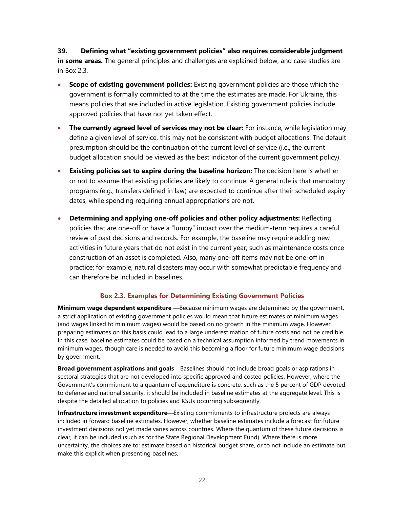**39. Defining what "existing government policies" also requires considerable judgment in some areas.** The general principles and challenges are explained below, and case studies are in Box 2.3.

- **Scope of existing government policies:** Existing government policies are those which the government is formally committed to at the time the estimates are made. For Ukraine, this means policies that are included in active legislation. Existing government policies include approved policies that have not yet taken effect.
- **The currently agreed level of services may not be clear:** For instance, while legislation may define a given level of service, this may not be consistent with budget allocations. The default presumption should be the continuation of the current level of service (i.e., the current budget allocation should be viewed as the best indicator of the current government policy).
- **Existing policies set to expire during the baseline horizon:** The decision here is whether or not to assume that existing policies are likely to continue. A general rule is that mandatory programs (e.g., transfers defined in law) are expected to continue after their scheduled expiry dates, while spending requiring annual appropriations are not.
- **Determining and applying one**-**off policies and other policy adjustments:** Reflecting policies that are one-off or have a "lumpy" impact over the medium-term requires a careful review of past decisions and records. For example, the baseline may require adding new activities in future years that do not exist in the current year, such as maintenance costs once construction of an asset is completed. Also, many one-off items may not be one-off in practice; for example, natural disasters may occur with somewhat predictable frequency and can therefore be included in baselines.

#### **Box 2.3. Examples for Determining Existing Government Policies**

**Minimum wage dependent expenditure** — Because minimum wages are determined by the government, a strict application of existing government policies would mean that future estimates of minimum wages (and wages linked to minimum wages) would be based on no growth in the minimum wage. However, preparing estimates on this basis could lead to a large underestimation of future costs and not be credible. In this case, baseline estimates could be based on a technical assumption informed by trend movements in minimum wages, though care is needed to avoid this becoming a floor for future minimum wage decisions by government.

**Broad government aspirations and goals**—Baselines should not include broad goals or aspirations in sectoral strategies that are not developed into specific approved and costed policies. However, where the Government's commitment to a quantum of expenditure is concrete, such as the 5 percent of GDP devoted to defense and national security, it should be included in baseline estimates at the aggregate level. This is despite the detailed allocation to policies and KSUs occurring subsequently.

**Infrastructure investment expenditure**—Existing commitments to infrastructure projects are always included in forward baseline estimates. However, whether baseline estimates include a forecast for future investment decisions not yet made varies across countries. Where the quantum of these future decisions is clear, it can be included (such as for the State Regional Development Fund). Where there is more uncertainty, the choices are to: estimate based on historical budget share, or to not include an estimate but make this explicit when presenting baselines.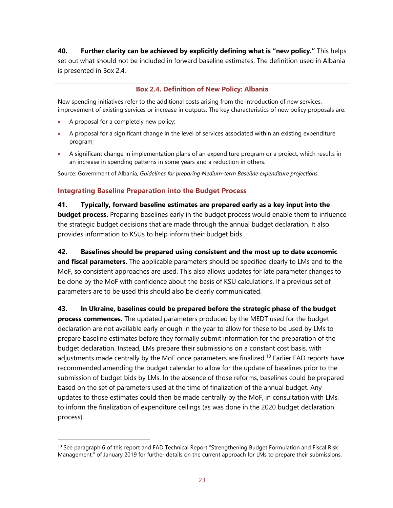**40. Further clarity can be achieved by explicitly defining what is "new policy."** This helps set out what should not be included in forward baseline estimates. The definition used in Albania is presented in Box 2.4.

#### **Box 2.4. Definition of New Policy: Albania**

New spending initiatives refer to the additional costs arising from the introduction of new services, improvement of existing services or increase in outputs. The key characteristics of new policy proposals are:

- A proposal for a completely new policy;
- A proposal for a significant change in the level of services associated within an existing expenditure program;
- A significant change in implementation plans of an expenditure program or a project, which results in an increase in spending patterns in some years and a reduction in others.

Source: Government of Albania, *Guidelines for preparing Medium-term Baseline expenditure projections*.

#### **Integrating Baseline Preparation into the Budget Process**

**41. Typically, forward baseline estimates are prepared early as a key input into the budget process.** Preparing baselines early in the budget process would enable them to influence the strategic budget decisions that are made through the annual budget declaration. It also provides information to KSUs to help inform their budget bids.

#### **42. Baselines should be prepared using consistent and the most up to date economic**

**and fiscal parameters.** The applicable parameters should be specified clearly to LMs and to the MoF, so consistent approaches are used. This also allows updates for late parameter changes to be done by the MoF with confidence about the basis of KSU calculations. If a previous set of parameters are to be used this should also be clearly communicated.

**43. In Ukraine, baselines could be prepared before the strategic phase of the budget process commences.** The updated parameters produced by the MEDT used for the budget declaration are not available early enough in the year to allow for these to be used by LMs to prepare baseline estimates before they formally submit information for the preparation of the budget declaration. Instead, LMs prepare their submissions on a constant cost basis, with adjustments made centrally by the MoF once parameters are finalized.<sup>[10](#page-23-0)</sup> Earlier FAD reports have recommended amending the budget calendar to allow for the update of baselines prior to the submission of budget bids by LMs. In the absence of those reforms, baselines could be prepared based on the set of parameters used at the time of finalization of the annual budget. Any updates to those estimates could then be made centrally by the MoF, in consultation with LMs, to inform the finalization of expenditure ceilings (as was done in the 2020 budget declaration process).

<span id="page-23-0"></span><sup>&</sup>lt;sup>10</sup> See paragraph 6 of this report and FAD Technical Report "Strengthening Budget Formulation and Fiscal Risk Management," of January 2019 for further details on the current approach for LMs to prepare their submissions.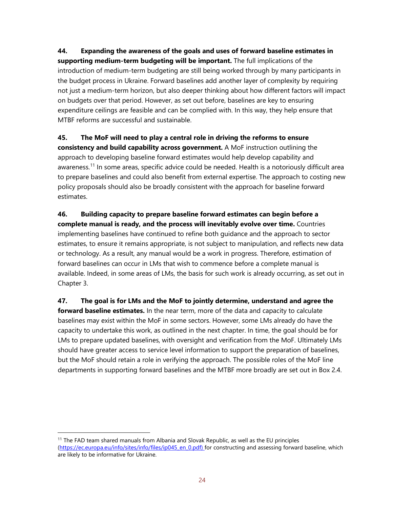**44. Expanding the awareness of the goals and uses of forward baseline estimates in supporting medium-term budgeting will be important.** The full implications of the introduction of medium-term budgeting are still being worked through by many participants in the budget process in Ukraine. Forward baselines add another layer of complexity by requiring not just a medium-term horizon, but also deeper thinking about how different factors will impact on budgets over that period. However, as set out before, baselines are key to ensuring expenditure ceilings are feasible and can be complied with. In this way, they help ensure that MTBF reforms are successful and sustainable.

#### **45. The MoF will need to play a central role in driving the reforms to ensure**

**consistency and build capability across government.** A MoF instruction outlining the approach to developing baseline forward estimates would help develop capability and awareness.<sup>[11](#page-24-0)</sup> In some areas, specific advice could be needed. Health is a notoriously difficult area to prepare baselines and could also benefit from external expertise. The approach to costing new policy proposals should also be broadly consistent with the approach for baseline forward estimates.

**46. Building capacity to prepare baseline forward estimates can begin before a complete manual is ready, and the process will inevitably evolve over time.** Countries implementing baselines have continued to refine both guidance and the approach to sector estimates, to ensure it remains appropriate, is not subject to manipulation, and reflects new data or technology. As a result, any manual would be a work in progress. Therefore, estimation of forward baselines can occur in LMs that wish to commence before a complete manual is available. Indeed, in some areas of LMs, the basis for such work is already occurring, as set out in Chapter 3.

**47. The goal is for LMs and the MoF to jointly determine, understand and agree the forward baseline estimates.** In the near term, more of the data and capacity to calculate baselines may exist within the MoF in some sectors. However, some LMs already do have the capacity to undertake this work, as outlined in the next chapter. In time, the goal should be for LMs to prepare updated baselines, with oversight and verification from the MoF. Ultimately LMs should have greater access to service level information to support the preparation of baselines, but the MoF should retain a role in verifying the approach. The possible roles of the MoF line departments in supporting forward baselines and the MTBF more broadly are set out in Box 2.4.

<span id="page-24-0"></span><sup>&</sup>lt;sup>11</sup> The FAD team shared manuals from Albania and Slovak Republic, as well as the EU principles [\(https://ec.europa.eu/info/sites/info/files/ip045\\_en\\_0.pdf\)](https://ec.europa.eu/info/sites/info/files/ip045_en_0.pdf) for constructing and assessing forward baseline, which are likely to be informative for Ukraine.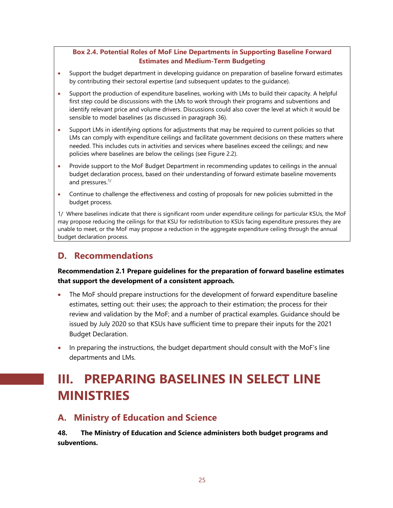#### **Box 2.4. Potential Roles of MoF Line Departments in Supporting Baseline Forward Estimates and Medium-Term Budgeting**

- Support the budget department in developing guidance on preparation of baseline forward estimates by contributing their sectoral expertise (and subsequent updates to the guidance).
- Support the production of expenditure baselines, working with LMs to build their capacity. A helpful first step could be discussions with the LMs to work through their programs and subventions and identify relevant price and volume drivers. Discussions could also cover the level at which it would be sensible to model baselines (as discussed in paragraph 36).
- Support LMs in identifying options for adjustments that may be required to current policies so that LMs can comply with expenditure ceilings and facilitate government decisions on these matters where needed. This includes cuts in activities and services where baselines exceed the ceilings; and new policies where baselines are below the ceilings (see Figure 2.2).
- Provide support to the MoF Budget Department in recommending updates to ceilings in the annual budget declaration process, based on their understanding of forward estimate baseline movements and pressures. 1/
- Continue to challenge the effectiveness and costing of proposals for new policies submitted in the budget process.

1/ Where baselines indicate that there is significant room under expenditure ceilings for particular KSUs, the MoF may propose reducing the ceilings for that KSU for redistribution to KSUs facing expenditure pressures they are unable to meet, or the MoF may propose a reduction in the aggregate expenditure ceiling through the annual budget declaration process.

### **D. Recommendations**

#### **Recommendation 2.1 Prepare guidelines for the preparation of forward baseline estimates that support the development of a consistent approach***.*

- The MoF should prepare instructions for the development of forward expenditure baseline estimates, setting out: their uses; the approach to their estimation; the process for their review and validation by the MoF; and a number of practical examples. Guidance should be issued by July 2020 so that KSUs have sufficient time to prepare their inputs for the 2021 Budget Declaration.
- In preparing the instructions, the budget department should consult with the MoF's line departments and LMs.

## **III. PREPARING BASELINES IN SELECT LINE MINISTRIES**

### **A. Ministry of Education and Science**

**48. The Ministry of Education and Science administers both budget programs and subventions.**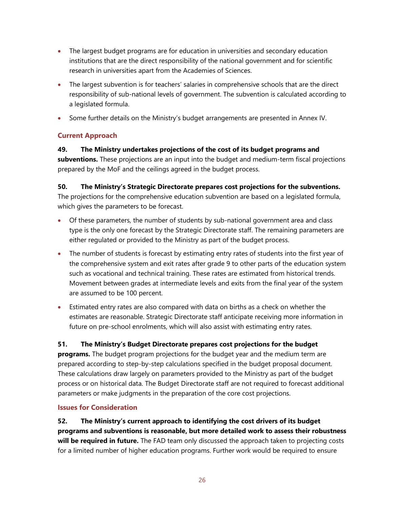- The largest budget programs are for education in universities and secondary education institutions that are the direct responsibility of the national government and for scientific research in universities apart from the Academies of Sciences.
- The largest subvention is for teachers' salaries in comprehensive schools that are the direct responsibility of sub-national levels of government. The subvention is calculated according to a legislated formula.
- Some further details on the Ministry's budget arrangements are presented in Annex IV.

#### **Current Approach**

#### **49. The Ministry undertakes projections of the cost of its budget programs and**

**subventions.** These projections are an input into the budget and medium-term fiscal projections prepared by the MoF and the ceilings agreed in the budget process.

#### **50. The Ministry's Strategic Directorate prepares cost projections for the subventions.**

The projections for the comprehensive education subvention are based on a legislated formula, which gives the parameters to be forecast.

- Of these parameters, the number of students by sub-national government area and class type is the only one forecast by the Strategic Directorate staff. The remaining parameters are either regulated or provided to the Ministry as part of the budget process.
- The number of students is forecast by estimating entry rates of students into the first year of the comprehensive system and exit rates after grade 9 to other parts of the education system such as vocational and technical training. These rates are estimated from historical trends. Movement between grades at intermediate levels and exits from the final year of the system are assumed to be 100 percent.
- Estimated entry rates are also compared with data on births as a check on whether the estimates are reasonable. Strategic Directorate staff anticipate receiving more information in future on pre-school enrolments, which will also assist with estimating entry rates.

#### **51. The Ministry's Budget Directorate prepares cost projections for the budget**

**programs.** The budget program projections for the budget year and the medium term are prepared according to step-by-step calculations specified in the budget proposal document. These calculations draw largely on parameters provided to the Ministry as part of the budget process or on historical data. The Budget Directorate staff are not required to forecast additional parameters or make judgments in the preparation of the core cost projections.

#### **Issues for Consideration**

**52. The Ministry's current approach to identifying the cost drivers of its budget programs and subventions is reasonable, but more detailed work to assess their robustness will be required in future.** The FAD team only discussed the approach taken to projecting costs for a limited number of higher education programs. Further work would be required to ensure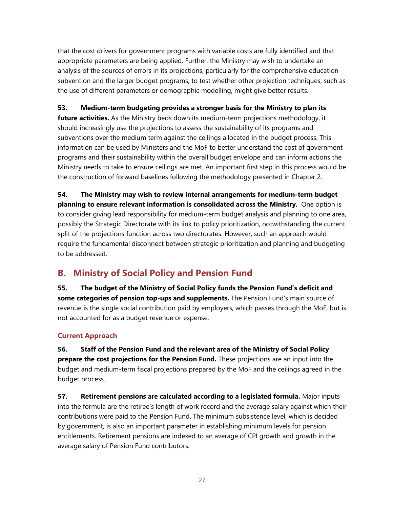that the cost drivers for government programs with variable costs are fully identified and that appropriate parameters are being applied. Further, the Ministry may wish to undertake an analysis of the sources of errors in its projections, particularly for the comprehensive education subvention and the larger budget programs, to test whether other projection techniques, such as the use of different parameters or demographic modelling, might give better results.

#### **53. Medium-term budgeting provides a stronger basis for the Ministry to plan its**

**future activities.** As the Ministry beds down its medium-term projections methodology, it should increasingly use the projections to assess the sustainability of its programs and subventions over the medium term against the ceilings allocated in the budget process. This information can be used by Ministers and the MoF to better understand the cost of government programs and their sustainability within the overall budget envelope and can inform actions the Ministry needs to take to ensure ceilings are met. An important first step in this process would be the construction of forward baselines following the methodology presented in Chapter 2.

**54. The Ministry may wish to review internal arrangements for medium-term budget planning to ensure relevant information is consolidated across the Ministry.** One option is to consider giving lead responsibility for medium-term budget analysis and planning to one area, possibly the Strategic Directorate with its link to policy prioritization, notwithstanding the current split of the projections function across two directorates. However, such an approach would require the fundamental disconnect between strategic prioritization and planning and budgeting to be addressed.

## **B. Ministry of Social Policy and Pension Fund**

**55. The budget of the Ministry of Social Policy funds the Pension Fund's deficit and some categories of pension top-ups and supplements.** The Pension Fund's main source of revenue is the single social contribution paid by employers, which passes through the MoF, but is not accounted for as a budget revenue or expense.

### **Current Approach**

**56. Staff of the Pension Fund and the relevant area of the Ministry of Social Policy prepare the cost projections for the Pension Fund.** These projections are an input into the budget and medium-term fiscal projections prepared by the MoF and the ceilings agreed in the budget process.

**57. Retirement pensions are calculated according to a legislated formula.** Major inputs into the formula are the retiree's length of work record and the average salary against which their contributions were paid to the Pension Fund. The minimum subsistence level, which is decided by government, is also an important parameter in establishing minimum levels for pension entitlements. Retirement pensions are indexed to an average of CPI growth and growth in the average salary of Pension Fund contributors.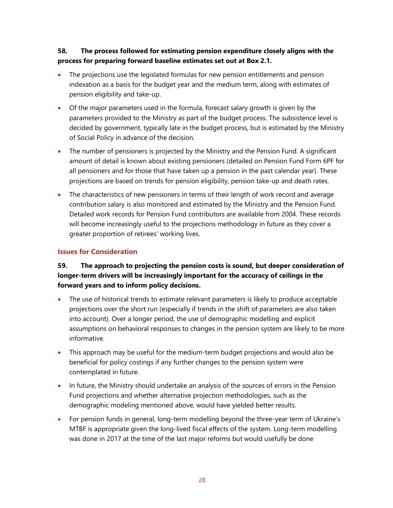#### **58. The process followed for estimating pension expenditure closely aligns with the process for preparing forward baseline estimates set out at Box 2.1.**

- The projections use the legislated formulas for new pension entitlements and pension indexation as a basis for the budget year and the medium term, along with estimates of pension eligibility and take-up.
- Of the major parameters used in the formula, forecast salary growth is given by the parameters provided to the Ministry as part of the budget process. The subsistence level is decided by government, typically late in the budget process, but is estimated by the Ministry of Social Policy in advance of the decision.
- The number of pensioners is projected by the Ministry and the Pension Fund. A significant amount of detail is known about existing pensioners (detailed on Pension Fund Form 6PF for all pensioners and for those that have taken up a pension in the past calendar year). These projections are based on trends for pension eligibility, pension take-up and death rates.
- The characteristics of new pensioners in terms of their length of work record and average contribution salary is also monitored and estimated by the Ministry and the Pension Fund. Detailed work records for Pension Fund contributors are available from 2004. These records will become increasingly useful to the projections methodology in future as they cover a greater proportion of retirees' working lives.

#### **Issues for Consideration**

#### **59. The approach to projecting the pension costs is sound, but deeper consideration of longer-term drivers will be increasingly important for the accuracy of ceilings in the forward years and to inform policy decisions.**

- The use of historical trends to estimate relevant parameters is likely to produce acceptable projections over the short run (especially if trends in the shift of parameters are also taken into account). Over a longer period, the use of demographic modelling and explicit assumptions on behavioral responses to changes in the pension system are likely to be more informative.
- This approach may be useful for the medium-term budget projections and would also be beneficial for policy costings if any further changes to the pension system were contemplated in future.
- In future, the Ministry should undertake an analysis of the sources of errors in the Pension Fund projections and whether alternative projection methodologies, such as the demographic modeling mentioned above, would have yielded better results.
- For pension funds in general, long-term modelling beyond the three-year term of Ukraine's MTBF is appropriate given the long-lived fiscal effects of the system. Long-term modelling was done in 2017 at the time of the last major reforms but would usefully be done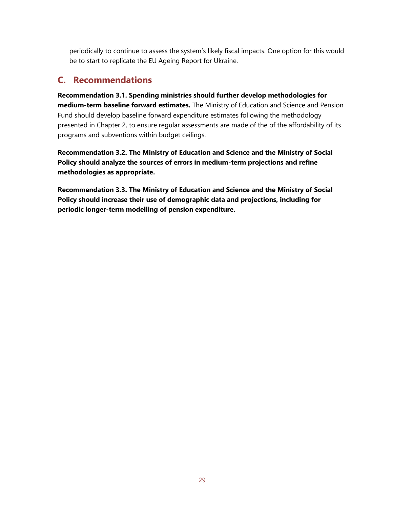periodically to continue to assess the system's likely fiscal impacts. One option for this would be to start to replicate the EU Ageing Report for Ukraine.

### **C. Recommendations**

**Recommendation 3.1. Spending ministries should further develop methodologies for medium-term baseline forward estimates.** The Ministry of Education and Science and Pension Fund should develop baseline forward expenditure estimates following the methodology presented in Chapter 2, to ensure regular assessments are made of the of the affordability of its programs and subventions within budget ceilings.

**Recommendation 3.2. The Ministry of Education and Science and the Ministry of Social Policy should analyze the sources of errors in medium-term projections and refine methodologies as appropriate.** 

**Recommendation 3.3. The Ministry of Education and Science and the Ministry of Social Policy should increase their use of demographic data and projections, including for periodic longer-term modelling of pension expenditure.**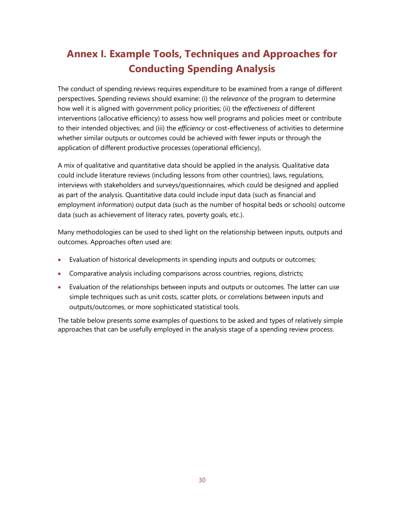## **Annex I. Example Tools, Techniques and Approaches for Conducting Spending Analysis**

The conduct of spending reviews requires expenditure to be examined from a range of different perspectives. Spending reviews should examine: (i) the r*elevance* of the program to determine how well it is aligned with government policy priorities; (ii) the *effectiveness* of different interventions (allocative efficiency) to assess how well programs and policies meet or contribute to their intended objectives; and (iii) the *efficiency* or cost-effectiveness of activities to determine whether similar outputs or outcomes could be achieved with fewer inputs or through the application of different productive processes (operational efficiency).

A mix of qualitative and quantitative data should be applied in the analysis. Qualitative data could include literature reviews (including lessons from other countries), laws, regulations, interviews with stakeholders and surveys/questionnaires, which could be designed and applied as part of the analysis. Quantitative data could include input data (such as financial and employment information) output data (such as the number of hospital beds or schools) outcome data (such as achievement of literacy rates, poverty goals, etc.).

Many methodologies can be used to shed light on the relationship between inputs, outputs and outcomes. Approaches often used are:

- Evaluation of historical developments in spending inputs and outputs or outcomes;
- Comparative analysis including comparisons across countries, regions, districts;
- Evaluation of the relationships between inputs and outputs or outcomes. The latter can use simple techniques such as unit costs, scatter plots, or correlations between inputs and outputs/outcomes, or more sophisticated statistical tools.

The table below presents some examples of questions to be asked and types of relatively simple approaches that can be usefully employed in the analysis stage of a spending review process.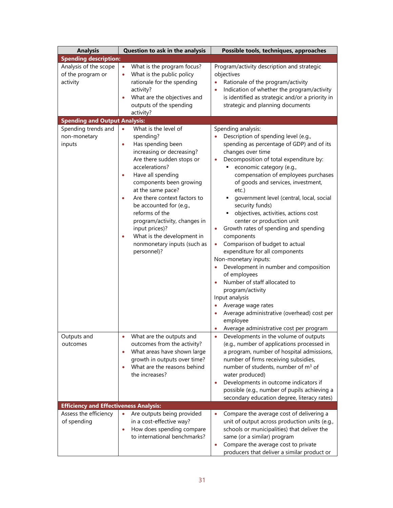| <b>Analysis</b>                                                                                | Question to ask in the analysis                                                                                                                                                                                                                                                                                                                                                                                        | Possible tools, techniques, approaches                                                                                                                                                                                                                                                                                                                                                                                                                                                                                                                                                                                                                                                                                                                                                                                              |
|------------------------------------------------------------------------------------------------|------------------------------------------------------------------------------------------------------------------------------------------------------------------------------------------------------------------------------------------------------------------------------------------------------------------------------------------------------------------------------------------------------------------------|-------------------------------------------------------------------------------------------------------------------------------------------------------------------------------------------------------------------------------------------------------------------------------------------------------------------------------------------------------------------------------------------------------------------------------------------------------------------------------------------------------------------------------------------------------------------------------------------------------------------------------------------------------------------------------------------------------------------------------------------------------------------------------------------------------------------------------------|
| <b>Spending description:</b>                                                                   |                                                                                                                                                                                                                                                                                                                                                                                                                        |                                                                                                                                                                                                                                                                                                                                                                                                                                                                                                                                                                                                                                                                                                                                                                                                                                     |
| Analysis of the scope<br>of the program or<br>activity<br><b>Spending and Output Analysis:</b> | What is the program focus?<br>$\bullet$<br>What is the public policy<br>$\bullet$<br>rationale for the spending<br>activity?<br>What are the objectives and<br>outputs of the spending<br>activity?                                                                                                                                                                                                                    | Program/activity description and strategic<br>objectives<br>Rationale of the program/activity<br>$\bullet$<br>Indication of whether the program/activity<br>is identified as strategic and/or a priority in<br>strategic and planning documents                                                                                                                                                                                                                                                                                                                                                                                                                                                                                                                                                                                     |
| Spending trends and                                                                            | What is the level of<br>$\bullet$                                                                                                                                                                                                                                                                                                                                                                                      | Spending analysis:                                                                                                                                                                                                                                                                                                                                                                                                                                                                                                                                                                                                                                                                                                                                                                                                                  |
| non-monetary<br>inputs                                                                         | spending?<br>Has spending been<br>$\bullet$<br>increasing or decreasing?<br>Are there sudden stops or<br>accelerations?<br>Have all spending<br>٠<br>components been growing<br>at the same pace?<br>Are there context factors to<br>٠<br>be accounted for (e.g.,<br>reforms of the<br>program/activity, changes in<br>input prices)?<br>What is the development in<br>۰<br>nonmonetary inputs (such as<br>personnel)? | Description of spending level (e.g.,<br>spending as percentage of GDP) and of its<br>changes over time<br>Decomposition of total expenditure by:<br>$\bullet$<br>economic category (e.g.,<br>٠<br>compensation of employees purchases<br>of goods and services, investment,<br>etc.)<br>" government level (central, local, social<br>security funds)<br>objectives, activities, actions cost<br>center or production unit<br>Growth rates of spending and spending<br>$\bullet$<br>components<br>Comparison of budget to actual<br>$\bullet$<br>expenditure for all components<br>Non-monetary inputs:<br>Development in number and composition<br>of employees<br>Number of staff allocated to<br>$\bullet$<br>program/activity<br>Input analysis<br>Average wage rates<br>Average administrative (overhead) cost per<br>employee |
| Outputs and<br>outcomes                                                                        | What are the outputs and<br>outcomes from the activity?<br>What areas have shown large<br>$\bullet$<br>growth in outputs over time?<br>What are the reasons behind<br>$\bullet$<br>the increases?                                                                                                                                                                                                                      | Average administrative cost per program<br>Developments in the volume of outputs<br>(e.g., number of applications processed in<br>a program, number of hospital admissions,<br>number of firms receiving subsidies,<br>number of students, number of m <sup>3</sup> of<br>water produced)<br>Developments in outcome indicators if<br>$\bullet$                                                                                                                                                                                                                                                                                                                                                                                                                                                                                     |
|                                                                                                |                                                                                                                                                                                                                                                                                                                                                                                                                        | possible (e.g., number of pupils achieving a<br>secondary education degree, literacy rates)                                                                                                                                                                                                                                                                                                                                                                                                                                                                                                                                                                                                                                                                                                                                         |
| <b>Efficiency and Effectiveness Analysis:</b>                                                  |                                                                                                                                                                                                                                                                                                                                                                                                                        |                                                                                                                                                                                                                                                                                                                                                                                                                                                                                                                                                                                                                                                                                                                                                                                                                                     |
| Assess the efficiency<br>of spending                                                           | Are outputs being provided<br>$\bullet$<br>in a cost-effective way?<br>How does spending compare<br>$\bullet$<br>to international benchmarks?                                                                                                                                                                                                                                                                          | Compare the average cost of delivering a<br>$\bullet$<br>unit of output across production units (e.g.,<br>schools or municipalities) that deliver the<br>same (or a similar) program<br>Compare the average cost to private<br>$\bullet$<br>producers that deliver a similar product or                                                                                                                                                                                                                                                                                                                                                                                                                                                                                                                                             |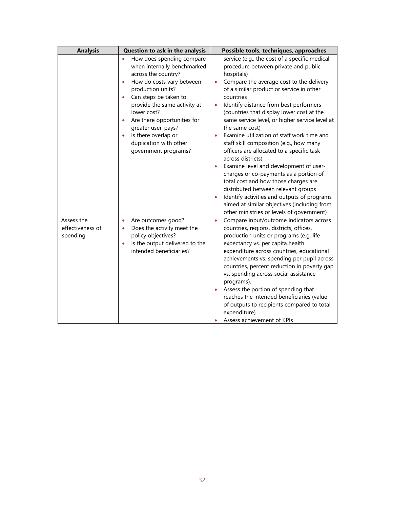| <b>Analysis</b>                            | Question to ask in the analysis                                                                                                                                                                                                                                                                                                                                                | Possible tools, techniques, approaches                                                                                                                                                                                                                                                                                                                                                                                                                                                                                                                                                                                                                                                                                                                                                                                                                                              |
|--------------------------------------------|--------------------------------------------------------------------------------------------------------------------------------------------------------------------------------------------------------------------------------------------------------------------------------------------------------------------------------------------------------------------------------|-------------------------------------------------------------------------------------------------------------------------------------------------------------------------------------------------------------------------------------------------------------------------------------------------------------------------------------------------------------------------------------------------------------------------------------------------------------------------------------------------------------------------------------------------------------------------------------------------------------------------------------------------------------------------------------------------------------------------------------------------------------------------------------------------------------------------------------------------------------------------------------|
|                                            | How does spending compare<br>when internally benchmarked<br>across the country?<br>How do costs vary between<br>$\bullet$<br>production units?<br>Can steps be taken to<br>provide the same activity at<br>lower cost?<br>Are there opportunities for<br>$\bullet$<br>greater user-pays?<br>Is there overlap or<br>$\bullet$<br>duplication with other<br>government programs? | service (e.g., the cost of a specific medical<br>procedure between private and public<br>hospitals)<br>Compare the average cost to the delivery<br>$\bullet$<br>of a similar product or service in other<br>countries<br>Identify distance from best performers<br>$\bullet$<br>(countries that display lower cost at the<br>same service level, or higher service level at<br>the same cost)<br>Examine utilization of staff work time and<br>$\bullet$<br>staff skill composition (e.g., how many<br>officers are allocated to a specific task<br>across districts)<br>Examine level and development of user-<br>charges or co-payments as a portion of<br>total cost and how those charges are<br>distributed between relevant groups<br>Identify activities and outputs of programs<br>aimed at similar objectives (including from<br>other ministries or levels of government) |
| Assess the<br>effectiveness of<br>spending | Are outcomes good?<br>$\bullet$<br>Does the activity meet the<br>$\bullet$<br>policy objectives?<br>Is the output delivered to the<br>$\bullet$<br>intended beneficiaries?                                                                                                                                                                                                     | Compare input/outcome indicators across<br>$\bullet$<br>countries, regions, districts, offices,<br>production units or programs (e.g. life<br>expectancy vs. per capita health<br>expenditure across countries, educational<br>achievements vs. spending per pupil across<br>countries, percent reduction in poverty gap<br>vs. spending across social assistance<br>programs).<br>Assess the portion of spending that<br>reaches the intended beneficiaries (value<br>of outputs to recipients compared to total<br>expenditure)<br>Assess achievement of KPIs                                                                                                                                                                                                                                                                                                                     |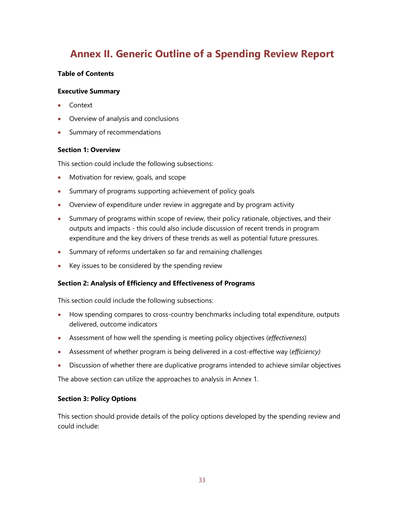## **Annex II. Generic Outline of a Spending Review Report**

#### **Table of Contents**

#### **Executive Summary**

- Context
- Overview of analysis and conclusions
- Summary of recommendations

#### **Section 1: Overview**

This section could include the following subsections:

- Motivation for review, goals, and scope
- Summary of programs supporting achievement of policy goals
- Overview of expenditure under review in aggregate and by program activity
- Summary of programs within scope of review, their policy rationale, objectives, and their outputs and impacts - this could also include discussion of recent trends in program expenditure and the key drivers of these trends as well as potential future pressures.
- Summary of reforms undertaken so far and remaining challenges
- Key issues to be considered by the spending review

#### **Section 2: Analysis of Efficiency and Effectiveness of Programs**

This section could include the following subsections:

- How spending compares to cross-country benchmarks including total expenditure, outputs delivered, outcome indicators
- Assessment of how well the spending is meeting policy objectives (*effectiveness*)
- Assessment of whether program is being delivered in a cost-effective way (*efficiency)*
- Discussion of whether there are duplicative programs intended to achieve similar objectives

The above section can utilize the approaches to analysis in Annex 1.

#### **Section 3: Policy Options**

This section should provide details of the policy options developed by the spending review and could include: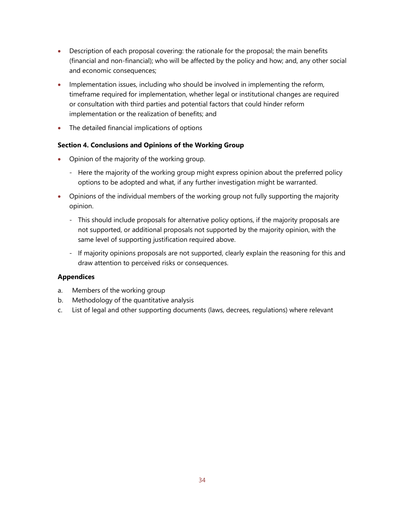- Description of each proposal covering: the rationale for the proposal; the main benefits (financial and non-financial); who will be affected by the policy and how; and, any other social and economic consequences;
- Implementation issues, including who should be involved in implementing the reform, timeframe required for implementation, whether legal or institutional changes are required or consultation with third parties and potential factors that could hinder reform implementation or the realization of benefits; and
- The detailed financial implications of options

#### **Section 4. Conclusions and Opinions of the Working Group**

- Opinion of the majority of the working group.
	- Here the majority of the working group might express opinion about the preferred policy options to be adopted and what, if any further investigation might be warranted.
- Opinions of the individual members of the working group not fully supporting the majority opinion.
	- This should include proposals for alternative policy options, if the majority proposals are not supported, or additional proposals not supported by the majority opinion, with the same level of supporting justification required above.
	- If majority opinions proposals are not supported, clearly explain the reasoning for this and draw attention to perceived risks or consequences.

#### **Appendices**

- a. Members of the working group
- b. Methodology of the quantitative analysis
- c. List of legal and other supporting documents (laws, decrees, regulations) where relevant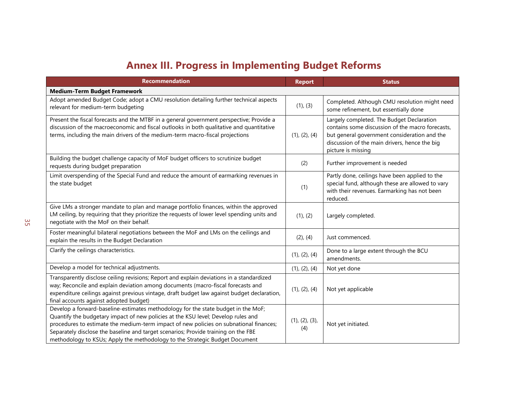## **Annex III. Progress in Implementing Budget Reforms**

| <b>Recommendation</b>                                                                                                                                                                                                                                                                                                                                                                                                                 | <b>Report</b>         | <b>Status</b>                                                                                                                                                                                                        |  |  |
|---------------------------------------------------------------------------------------------------------------------------------------------------------------------------------------------------------------------------------------------------------------------------------------------------------------------------------------------------------------------------------------------------------------------------------------|-----------------------|----------------------------------------------------------------------------------------------------------------------------------------------------------------------------------------------------------------------|--|--|
| <b>Medium-Term Budget Framework</b>                                                                                                                                                                                                                                                                                                                                                                                                   |                       |                                                                                                                                                                                                                      |  |  |
| Adopt amended Budget Code; adopt a CMU resolution detailing further technical aspects<br>relevant for medium-term budgeting                                                                                                                                                                                                                                                                                                           | (1), (3)              | Completed. Although CMU resolution might need<br>some refinement, but essentially done                                                                                                                               |  |  |
| Present the fiscal forecasts and the MTBF in a general government perspective; Provide a<br>discussion of the macroeconomic and fiscal outlooks in both qualitative and quantitative<br>terms, including the main drivers of the medium-term macro-fiscal projections                                                                                                                                                                 | (1), (2), (4)         | Largely completed. The Budget Declaration<br>contains some discussion of the macro forecasts,<br>but general government consideration and the<br>discussion of the main drivers, hence the big<br>picture is missing |  |  |
| Building the budget challenge capacity of MoF budget officers to scrutinize budget<br>requests during budget preparation                                                                                                                                                                                                                                                                                                              | (2)                   | Further improvement is needed                                                                                                                                                                                        |  |  |
| Limit overspending of the Special Fund and reduce the amount of earmarking revenues in<br>the state budget                                                                                                                                                                                                                                                                                                                            | (1)                   | Partly done, ceilings have been applied to the<br>special fund, although these are allowed to vary<br>with their revenues. Earmarking has not been<br>reduced.                                                       |  |  |
| Give LMs a stronger mandate to plan and manage portfolio finances, within the approved<br>LM ceiling, by requiring that they prioritize the requests of lower level spending units and<br>negotiate with the MoF on their behalf.                                                                                                                                                                                                     | (1), (2)              | Largely completed.                                                                                                                                                                                                   |  |  |
| Foster meaningful bilateral negotiations between the MoF and LMs on the ceilings and<br>explain the results in the Budget Declaration                                                                                                                                                                                                                                                                                                 | $(2)$ , $(4)$         | Just commenced.                                                                                                                                                                                                      |  |  |
| Clarify the ceilings characteristics.                                                                                                                                                                                                                                                                                                                                                                                                 | (1), (2), (4)         | Done to a large extent through the BCU<br>amendments.                                                                                                                                                                |  |  |
| Develop a model for technical adjustments.                                                                                                                                                                                                                                                                                                                                                                                            | (1), (2), (4)         | Not yet done                                                                                                                                                                                                         |  |  |
| Transparently disclose ceiling revisions; Report and explain deviations in a standardized<br>way; Reconcile and explain deviation among documents (macro-fiscal forecasts and<br>expenditure ceilings against previous vintage, draft budget law against budget declaration,<br>final accounts against adopted budget)                                                                                                                | (1), (2), (4)         | Not yet applicable                                                                                                                                                                                                   |  |  |
| Develop a forward-baseline-estimates methodology for the state budget in the MoF;<br>Quantify the budgetary impact of new policies at the KSU level; Develop rules and<br>procedures to estimate the medium-term impact of new policies on subnational finances;<br>Separately disclose the baseline and target scenarios; Provide training on the FBE<br>methodology to KSUs; Apply the methodology to the Strategic Budget Document | (1), (2), (3),<br>(4) | Not yet initiated.                                                                                                                                                                                                   |  |  |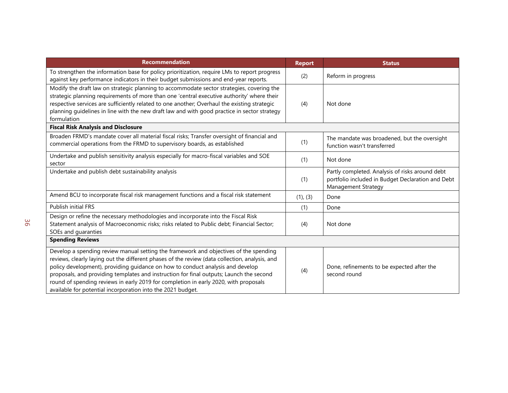| <b>Recommendation</b>                                                                                                                                                                                                                                                                                                                                                                                                                                                                                                       | <b>Report</b> | <b>Status</b>                                                                                                               |
|-----------------------------------------------------------------------------------------------------------------------------------------------------------------------------------------------------------------------------------------------------------------------------------------------------------------------------------------------------------------------------------------------------------------------------------------------------------------------------------------------------------------------------|---------------|-----------------------------------------------------------------------------------------------------------------------------|
| To strengthen the information base for policy prioritization, require LMs to report progress<br>against key performance indicators in their budget submissions and end-year reports.                                                                                                                                                                                                                                                                                                                                        | (2)           | Reform in progress                                                                                                          |
| Modify the draft law on strategic planning to accommodate sector strategies, covering the<br>strategic planning requirements of more than one 'central executive authority' where their<br>respective services are sufficiently related to one another; Overhaul the existing strategic<br>planning guidelines in line with the new draft law and with good practice in sector strategy<br>formulation                                                                                                                      | (4)           | Not done                                                                                                                    |
| <b>Fiscal Risk Analysis and Disclosure</b>                                                                                                                                                                                                                                                                                                                                                                                                                                                                                  |               |                                                                                                                             |
| Broaden FRMD's mandate cover all material fiscal risks; Transfer oversight of financial and<br>commercial operations from the FRMD to supervisory boards, as established                                                                                                                                                                                                                                                                                                                                                    | (1)           | The mandate was broadened, but the oversight<br>function wasn't transferred                                                 |
| Undertake and publish sensitivity analysis especially for macro-fiscal variables and SOE<br>sector                                                                                                                                                                                                                                                                                                                                                                                                                          | (1)           | Not done                                                                                                                    |
| Undertake and publish debt sustainability analysis                                                                                                                                                                                                                                                                                                                                                                                                                                                                          | (1)           | Partly completed. Analysis of risks around debt<br>portfolio included in Budget Declaration and Debt<br>Management Strategy |
| Amend BCU to incorporate fiscal risk management functions and a fiscal risk statement                                                                                                                                                                                                                                                                                                                                                                                                                                       | (1), (3)      | Done                                                                                                                        |
| <b>Publish initial FRS</b>                                                                                                                                                                                                                                                                                                                                                                                                                                                                                                  | (1)           | Done                                                                                                                        |
| Design or refine the necessary methodologies and incorporate into the Fiscal Risk<br>Statement analysis of Macroeconomic risks; risks related to Public debt; Financial Sector;<br>SOEs and guaranties                                                                                                                                                                                                                                                                                                                      | (4)           | Not done                                                                                                                    |
| <b>Spending Reviews</b>                                                                                                                                                                                                                                                                                                                                                                                                                                                                                                     |               |                                                                                                                             |
| Develop a spending review manual setting the framework and objectives of the spending<br>reviews, clearly laying out the different phases of the review (data collection, analysis, and<br>policy development), providing guidance on how to conduct analysis and develop<br>proposals, and providing templates and instruction for final outputs; Launch the second<br>round of spending reviews in early 2019 for completion in early 2020, with proposals<br>available for potential incorporation into the 2021 budget. | (4)           | Done, refinements to be expected after the<br>second round                                                                  |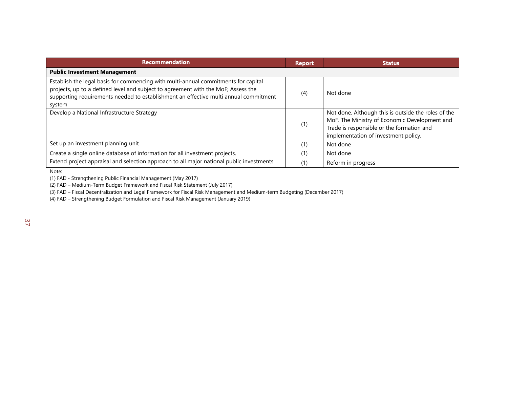| <b>Recommendation</b>                                                                                                                                                                                                                                                     | <b>Report</b> | <b>Status</b>                                                                                                                                                                             |
|---------------------------------------------------------------------------------------------------------------------------------------------------------------------------------------------------------------------------------------------------------------------------|---------------|-------------------------------------------------------------------------------------------------------------------------------------------------------------------------------------------|
| <b>Public Investment Management</b>                                                                                                                                                                                                                                       |               |                                                                                                                                                                                           |
| Establish the legal basis for commencing with multi-annual commitments for capital<br>projects, up to a defined level and subject to agreement with the MoF; Assess the<br>supporting requirements needed to establishment an effective multi annual commitment<br>system | (4)           | Not done                                                                                                                                                                                  |
| Develop a National Infrastructure Strategy                                                                                                                                                                                                                                | (1)           | Not done. Although this is outside the roles of the<br>MoF. The Ministry of Economic Development and<br>Trade is responsible or the formation and<br>implementation of investment policy. |
| Set up an investment planning unit                                                                                                                                                                                                                                        | (1)           | Not done                                                                                                                                                                                  |
| Create a single online database of information for all investment projects.                                                                                                                                                                                               | (1)           | Not done                                                                                                                                                                                  |
| Extend project appraisal and selection approach to all major national public investments                                                                                                                                                                                  | (1)           | Reform in progress                                                                                                                                                                        |

Note:

(1) FAD - Strengthening Public Financial Management (May 2017)

(2) FAD – Medium-Term Budget Framework and Fiscal Risk Statement (July 2017)

(3) FAD – Fiscal Decentralization and Legal Framework for Fiscal Risk Management and Medium-term Budgeting (December 2017)

(4) FAD – Strengthening Budget Formulation and Fiscal Risk Management (January 2019)